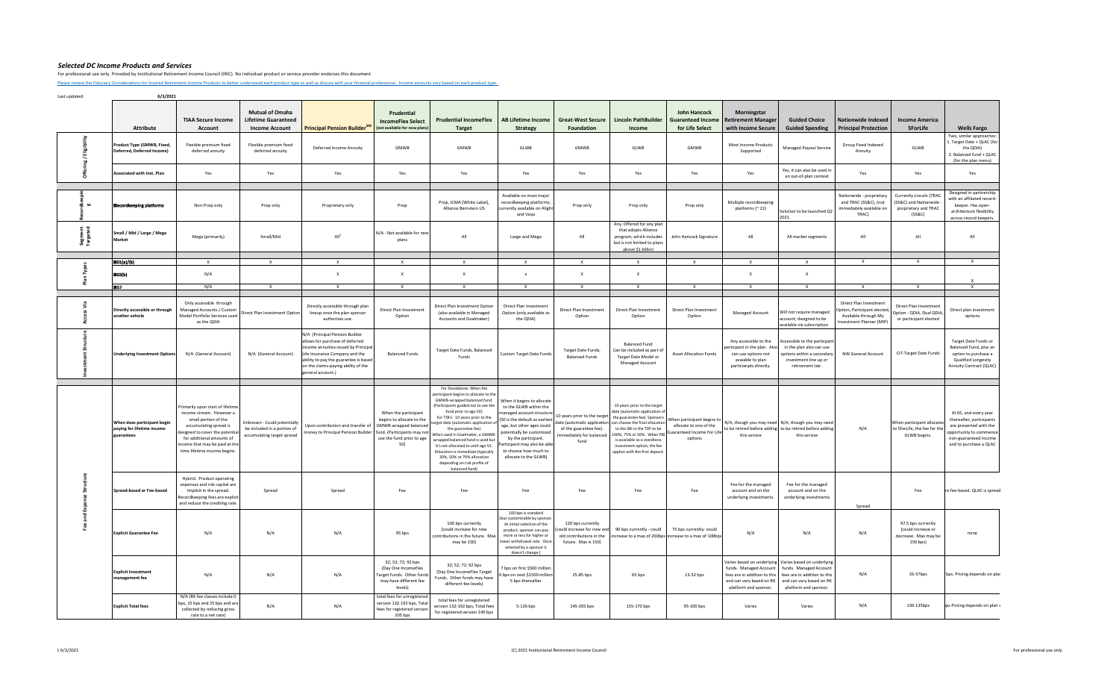For professional use only. Provided by Institutional Retirement Income Council (IRIC). No individual product or service provider endorses this document.

[Please review the Fiduciary C](https://iricouncil.org/evaluation-tools/#1520343768811-ff67f288-b770)onsiderations for Insured Retirement Income Products to better understand each product type as well as discuss with your financial professional. Income amounts vary based on each product type.

|                     | Attribute                                                               | <b>TIAA Secure Income</b><br>Account                                                                                                                                                                                                         | <b>Mutual of Omaha</b><br><b>Lifetime Guaranteed</b><br><b>Income Account</b>            | Principal Pension Builder <sup>SM</sup>                                                                                                                                                                                                         | Prudential<br><b>IncomeFlex Select</b><br>(not available for new plan:                                                                       | <b>Prudential IncomeFlex</b><br><b>Target</b>                                                                                                                                                                                                                                                                                                                                                                                                                                                         | <b>AB Lifetime Income</b><br><b>Strategy</b>                                                                                                                                                                                                                                        | <b>Great-West Secure</b><br>Foundation                                                    | <b>Lincoln PathBuilder</b><br>Income                                                                                                                                                                                                                                                       | <b>John Hancock</b><br><b>Guaranteed Income</b><br>for Life Select                                                       | Morningstar<br><b>Retirement Manager</b><br>with Income Secure                                                            | <b>Guided Choice</b><br><b>Guided Spending</b>                                                                                                                       | <b>Nationwide Indexed</b><br><b>Principal Protection</b>                                                   | <b>Income America</b><br><b>5ForLife</b>                                           | <b>Wells Fargo</b>                                                                                                                                        |
|---------------------|-------------------------------------------------------------------------|----------------------------------------------------------------------------------------------------------------------------------------------------------------------------------------------------------------------------------------------|------------------------------------------------------------------------------------------|-------------------------------------------------------------------------------------------------------------------------------------------------------------------------------------------------------------------------------------------------|----------------------------------------------------------------------------------------------------------------------------------------------|-------------------------------------------------------------------------------------------------------------------------------------------------------------------------------------------------------------------------------------------------------------------------------------------------------------------------------------------------------------------------------------------------------------------------------------------------------------------------------------------------------|-------------------------------------------------------------------------------------------------------------------------------------------------------------------------------------------------------------------------------------------------------------------------------------|-------------------------------------------------------------------------------------------|--------------------------------------------------------------------------------------------------------------------------------------------------------------------------------------------------------------------------------------------------------------------------------------------|--------------------------------------------------------------------------------------------------------------------------|---------------------------------------------------------------------------------------------------------------------------|----------------------------------------------------------------------------------------------------------------------------------------------------------------------|------------------------------------------------------------------------------------------------------------|------------------------------------------------------------------------------------|-----------------------------------------------------------------------------------------------------------------------------------------------------------|
|                     |                                                                         |                                                                                                                                                                                                                                              |                                                                                          |                                                                                                                                                                                                                                                 |                                                                                                                                              |                                                                                                                                                                                                                                                                                                                                                                                                                                                                                                       |                                                                                                                                                                                                                                                                                     |                                                                                           |                                                                                                                                                                                                                                                                                            |                                                                                                                          |                                                                                                                           |                                                                                                                                                                      |                                                                                                            |                                                                                    |                                                                                                                                                           |
|                     | Product Type (GMWB, Fixed,<br>Deferred, Deferred Income)                | Flexible premium fixed<br>deferred annuity                                                                                                                                                                                                   | Flexible premium fixed<br>deferred annuity                                               | Deferred Income Annuity                                                                                                                                                                                                                         | <b>GMWR</b>                                                                                                                                  | <b>GMWB</b>                                                                                                                                                                                                                                                                                                                                                                                                                                                                                           | GLWB                                                                                                                                                                                                                                                                                | GMWB                                                                                      | GLWB                                                                                                                                                                                                                                                                                       | <b>GMWR</b>                                                                                                              | Most Income Products<br>Supported                                                                                         | Managed Payout Service                                                                                                                                               | Group Fixed Indexed<br>Annuity                                                                             | GLWB                                                                               | Two, similar approaches:<br>L. Target Date + QLAC (for<br>the ODIA)<br>2. Balanced fund + QLAC<br>(for the plan menu)                                     |
| ō                   | Associated with Inst. Plan                                              | Yes                                                                                                                                                                                                                                          | Yes                                                                                      | Yes                                                                                                                                                                                                                                             | Yes                                                                                                                                          | Yes                                                                                                                                                                                                                                                                                                                                                                                                                                                                                                   | Yes                                                                                                                                                                                                                                                                                 | Yes                                                                                       | Yes                                                                                                                                                                                                                                                                                        | Yes                                                                                                                      | Yes                                                                                                                       | Yes, it can also be used in<br>an out-of-plan context                                                                                                                | Yes                                                                                                        | Yes                                                                                | Yes                                                                                                                                                       |
| $\omega$            | ecordkeeping platforms                                                  | Non-Prop only                                                                                                                                                                                                                                | Prop only                                                                                | Proprietary only                                                                                                                                                                                                                                | Prop                                                                                                                                         | Prop, ICMA (White Label),<br>Alliance Bernstein LIS                                                                                                                                                                                                                                                                                                                                                                                                                                                   | Available on most major<br>recordkeeping platforms;<br>currently available on Alight<br>and Voya                                                                                                                                                                                    | Prop only                                                                                 | Prop only                                                                                                                                                                                                                                                                                  | Prop only                                                                                                                | Multiple recordkeeping<br>platforms (~22)                                                                                 | Solution to be launched Q2<br>2021.                                                                                                                                  | Nationwide - proprietary<br>and TRAC (SS&C), (not<br>immediately available on<br>TRAC)                     | Currently Lincoln (TRAC<br>(SS&C) and Nationwide<br>proprietary and TRAC<br>(SS&C) | Designed in partnership<br>with an affiliated record-<br>keeper. Has open-<br>architecture flexibility<br>across record keepers.                          |
| Segment<br>Targeted | Small / Mid / Large / Mega<br>Market                                    | Mega (primarily)                                                                                                                                                                                                                             | Small/Mid                                                                                | All <sup>1</sup>                                                                                                                                                                                                                                | N/A - Not available for new<br>plans                                                                                                         | All                                                                                                                                                                                                                                                                                                                                                                                                                                                                                                   | Large and Mega                                                                                                                                                                                                                                                                      | All                                                                                       | Any. Offered for any plan<br>that adopts Alliance<br>program, which includes<br>but is not limited to plans<br>above \$1 billion                                                                                                                                                           | John Hancock Signature                                                                                                   | All                                                                                                                       | All market segments                                                                                                                                                  | All                                                                                                        | All                                                                                | All                                                                                                                                                       |
|                     |                                                                         | $\mathbf{x}$                                                                                                                                                                                                                                 |                                                                                          |                                                                                                                                                                                                                                                 | $\mathbf{x}$                                                                                                                                 | $\mathbf{x}$                                                                                                                                                                                                                                                                                                                                                                                                                                                                                          |                                                                                                                                                                                                                                                                                     |                                                                                           |                                                                                                                                                                                                                                                                                            | $\mathbf{x}$                                                                                                             |                                                                                                                           | $\mathbf{x}$                                                                                                                                                         | $\mathsf{x}$                                                                                               | $\mathbf{x}$                                                                       | $\mathbf{x}$                                                                                                                                              |
|                     | B(01(a)/(k))                                                            |                                                                                                                                                                                                                                              | $\mathbf{x}$                                                                             | $\mathbf{x}$                                                                                                                                                                                                                                    |                                                                                                                                              |                                                                                                                                                                                                                                                                                                                                                                                                                                                                                                       | $\mathbf{x}$                                                                                                                                                                                                                                                                        | $\mathbf{x}$                                                                              | $\mathbf{x}$                                                                                                                                                                                                                                                                               |                                                                                                                          | $\mathbf{x}$                                                                                                              |                                                                                                                                                                      |                                                                                                            |                                                                                    |                                                                                                                                                           |
| nan<br>Plan         | <b>ELOS(b)</b>                                                          | N/A                                                                                                                                                                                                                                          |                                                                                          | $\mathbf{x}$                                                                                                                                                                                                                                    | $\boldsymbol{\mathsf{x}}$                                                                                                                    | $\mathbf{x}$                                                                                                                                                                                                                                                                                                                                                                                                                                                                                          | $\boldsymbol{\mathsf{x}}$                                                                                                                                                                                                                                                           | $\mathbf{x}$                                                                              | $\mathbf{x}$                                                                                                                                                                                                                                                                               |                                                                                                                          | x                                                                                                                         | $\mathbf{x}$                                                                                                                                                         |                                                                                                            |                                                                                    |                                                                                                                                                           |
|                     | <b>M57</b>                                                              | N/A                                                                                                                                                                                                                                          |                                                                                          | $\mathbf{x}$                                                                                                                                                                                                                                    | X                                                                                                                                            | $\mathbf{x}$                                                                                                                                                                                                                                                                                                                                                                                                                                                                                          | $\mathbf{x}$                                                                                                                                                                                                                                                                        | $\mathbf{x}$                                                                              |                                                                                                                                                                                                                                                                                            | $\mathbf{x}$                                                                                                             |                                                                                                                           | $\times$                                                                                                                                                             |                                                                                                            | $\mathbf{x}$                                                                       | x                                                                                                                                                         |
| ŝ                   | Directly accessible or through<br>another vehicle                       | Only accessible through<br><b>Managed Accounts / Custom</b><br>Model Portfolio Services used<br>as the QDIA                                                                                                                                  | Direct Plan Investment Option                                                            | Directly accessible through plan<br>lineup once the plan sponsor<br>authorizes use.                                                                                                                                                             | Direct Plan Investment<br>Option                                                                                                             | <b>Direct Plan Investment Option</b><br>(also available in Managed<br>Accounts and Goalmaker)                                                                                                                                                                                                                                                                                                                                                                                                         | <b>Direct Plan Investment</b><br>Option (only available as<br>the QDIA)                                                                                                                                                                                                             | Direct Plan Investment<br>Option                                                          | Direct Plan Investment<br>Option                                                                                                                                                                                                                                                           | Direct Plan Investment<br>Option                                                                                         | Managed Account                                                                                                           | Will not require managed<br>account: designed to be<br>available via subscription                                                                                    | Direct Plan Investment<br>Option, Participant elected,<br>Available through My<br>Investment Planner (MIP) | Direct Plan Investment<br>Option - QDIA, Dual QDIA<br>or participant elected       | Direct plan investment<br>options                                                                                                                         |
|                     | <b>Underlying Investment Option:</b>                                    | N/A (General Account)                                                                                                                                                                                                                        | N/A (General Account)                                                                    | N/A (Principal Pension Builder<br>allows for purchase of deferred<br>ncome annuities issued by Principal<br>Life Insurance Company and the<br>ability to pay the guarantee is based<br>on the claims-paying ability of the<br>general account.) | <b>Balanced Funds</b>                                                                                                                        | Target Date Funds, Balanced<br><b>Funds</b>                                                                                                                                                                                                                                                                                                                                                                                                                                                           | Custom Target Date Funds                                                                                                                                                                                                                                                            | Target Date Funds,<br><b>Balanced Funds</b>                                               | <b>Balanced Fund</b><br>Can be included as part of<br>Target Date Model or<br>Managed Account                                                                                                                                                                                              | <b>Asset Allocation Funds</b>                                                                                            | Any accessible to the<br>particpant in the plan. Also<br>can use options not<br>avaiable to plan<br>particianpts directly | Accessible to the particpant<br>in the plan also can use<br>options within a secondary<br>investment line up or<br>retirement tier.                                  | NW General Account                                                                                         | CIT-Target Date Funds                                                              | <b>Target Date Funds or</b><br>Balanced Fund, plus an<br>option to purchase a<br>Qualified Longevity<br>Annuity Contract (QLAC)                           |
|                     |                                                                         |                                                                                                                                                                                                                                              |                                                                                          |                                                                                                                                                                                                                                                 |                                                                                                                                              |                                                                                                                                                                                                                                                                                                                                                                                                                                                                                                       |                                                                                                                                                                                                                                                                                     |                                                                                           |                                                                                                                                                                                                                                                                                            |                                                                                                                          |                                                                                                                           |                                                                                                                                                                      |                                                                                                            |                                                                                    |                                                                                                                                                           |
|                     | When does participant begin<br>paying for lifetime income<br>guarantees | Primarily upon start of lifetime<br>income stream. However a<br>small portion of the<br>accumulating spread is<br>signed to cover the potenti<br>for additional amounts of<br>income that may be paid at the<br>time lifetime income begins. | Unknown - Could potentially<br>be included in a portion of<br>accumulating target spread | Upon contribution and transfer of<br>noney to Principal Pension Builder                                                                                                                                                                         | When the participant<br>begins to allocate to the<br>GMWB-wrapped balanced<br>und. (Participants may not<br>use the fund prior to age<br>50) | For Standalone: When the<br>participant begins to allocate to the<br>GMWB-wrapped balanced fund.<br>(Participants guided not to use the<br>fund prior to age 50)<br>For TDFs: 10 years prior to the<br>arget date (automatic application o<br>the guarantee fee)<br>When used in Goalmaker, a GMWB-<br>wrapped balanced fund is used but<br>it's not allocated to until age 55.<br>Allocation is immediate (typically<br>30%, 50% or 70% allocation<br>depending on risk profile of<br>balanced fund) | When it begins to allocate<br>to the GLWB within the<br>anaged account structure<br>(50 is the default as earliest<br>age, but other ages could<br>otentially be customized<br>by the participant.<br>articipant may also be able<br>to choose how much to<br>allocate to the GLWB) | 10 years prior to the target<br>of the guarantee fee).<br>mmediately for balanced<br>fund | 10 years prior to the target<br>late (automatic application of<br>the guarantee fee) Sponsors<br>date (automatic application can choose the final allocation<br>to the SRI in the TDF to be<br>is available as a standlone<br>investment option, the fee<br>applies with the first deposit | When participant begins to<br>allocate to one of the<br>100%, 75% or 50%. When PBI Guaranteed Income For Life<br>options | this service                                                                                                              | N/A, though you may need N/A, though you may need<br>to be retired before adding to be retired before adding<br>this service                                         | N/A                                                                                                        | When participant allocate<br>to 5forLife, the fee for the<br>GLWB begins.          | At 65, and every year<br>thereafter, participants<br>are presented with the<br>opportunity to commence<br>non-guaranteed income<br>and to purchase a QLAC |
|                     | Spread-based or Fee-based                                               | Hybrid. Product operating<br>expenses and risk capital are<br>Implicit in the spread.<br>Recordkeeping fees are explici<br>and reduce the crediting rate                                                                                     | Spread                                                                                   | Spread                                                                                                                                                                                                                                          | Fee                                                                                                                                          | Fee                                                                                                                                                                                                                                                                                                                                                                                                                                                                                                   | Fee                                                                                                                                                                                                                                                                                 | Fee                                                                                       | Fee                                                                                                                                                                                                                                                                                        | Fee                                                                                                                      | Fee for the managed<br>account and on the<br>underlying investments.                                                      | Fee for the managed<br>account and on the<br>underlying investments                                                                                                  | Spread                                                                                                     | Fee                                                                                | e fee-based. QLAC is spreac                                                                                                                               |
|                     | <b>Explicit Guarantee Fee</b>                                           | N/A                                                                                                                                                                                                                                          | N/A                                                                                      | N/A                                                                                                                                                                                                                                             | 95 bps                                                                                                                                       | 100 bps currently<br>(could increase for new<br>contributions in the future. Max<br>may be 150)                                                                                                                                                                                                                                                                                                                                                                                                       | 100 bps is standard<br>ut customizable by sponso<br>At initial selection of the<br>product, sponsor can pay<br>more or less for higher or<br>ower withdrawal rate. Once<br>selected by a sponsor it<br>doesn't change.)                                                             | 120 bps currently<br>old contributions in the<br>future. Max is 150)                      | ould increase for new and 90 bps currently - could<br>increase to a max of 200bps increase to a max of 100bps                                                                                                                                                                              | 75 bps currently-could                                                                                                   | N/A                                                                                                                       | N/A                                                                                                                                                                  | N/A                                                                                                        | 97.5 bps currently<br>(could increase or<br>decrease. Max may be<br>150 bps)       | none                                                                                                                                                      |
|                     | <b>Explicit Investment</b><br>management fee                            | N/A                                                                                                                                                                                                                                          | N/A                                                                                      | N/A                                                                                                                                                                                                                                             | 32; 52; 72; 92 bps<br>(Day One IncomeFlex<br>Farget Funds. Other funds<br>may have different fee<br>levels)                                  | 32; 52; 72; 92 bps<br>(Day One IncomeFlex Target<br>Funds. Other funds may have<br>different fee levels)                                                                                                                                                                                                                                                                                                                                                                                              | bps on first \$500 million<br>bps on next \$1500 million<br>5 bps thereafter                                                                                                                                                                                                        | 25-85 bps                                                                                 | 65 bps                                                                                                                                                                                                                                                                                     | 13-32 bps                                                                                                                | funds. Managed Account<br>fees are in addition to this<br>and can vary based on RK<br>platform and sponsor                | Varies based on underlying Varies based on underlying<br>funds. Managed Account<br>fees are in addition to this<br>and can vary based on RK<br>platform and sponsor. | N/A                                                                                                        | 33-37bps                                                                           | bps. Pricing depends on plar                                                                                                                              |
|                     | <b>Explicit Total fees</b>                                              | N/A (RK fee classes include 0<br>bps, 15 bps and 25 bps and are<br>collected by reducing gross<br>rate to a net rate)                                                                                                                        | N/A                                                                                      | N/A                                                                                                                                                                                                                                             | total fees for unregistered<br>version 132-192 bps, Total<br>fees for registered version<br>205 bps                                          | total fees for unregistered<br>ersion 132-192 bps, Total fees<br>for registered version 140 bps                                                                                                                                                                                                                                                                                                                                                                                                       | 5-126 bps                                                                                                                                                                                                                                                                           | 145-205 bps                                                                               | 155-170 bps                                                                                                                                                                                                                                                                                | 95-100 bps                                                                                                               | Varies                                                                                                                    | Varies                                                                                                                                                               | N/A                                                                                                        | 130-135bps                                                                         | ps Pricing depends on plan :                                                                                                                              |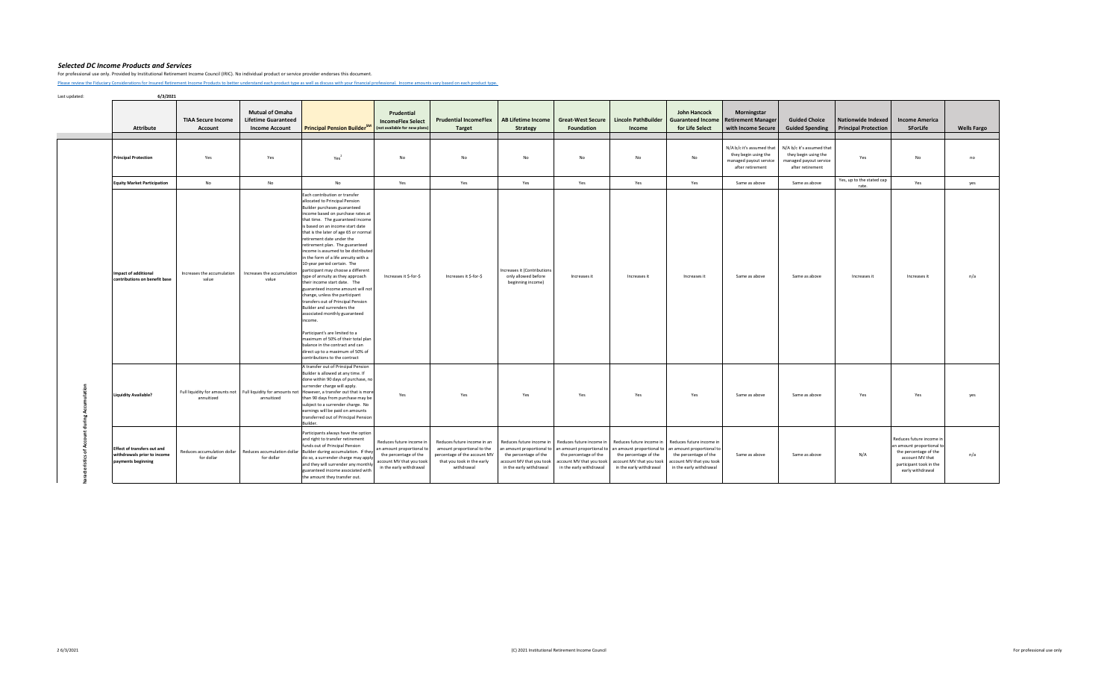For professional use only. Provided by Institutional Retirement Income Council (IRIC). No individual product or service provider endorses this document.

[Please review the Fiduciary C](https://iricouncil.org/evaluation-tools/#1520343768811-ff67f288-b770)onsiderations for Insured Retirement Income Products to better understand each product type as well as discuss with your financial professional. Income amounts vary based on each product type.

Last updated: **6/3/2021**

**III** 

| Attribute                                                                               | <b>TIAA Secure Income</b><br>Account      | <b>Mutual of Omaha</b><br><b>Lifetime Guaranteed</b><br><b>Income Account</b> | Principal Pension Builder <sup>SM</sup>                                                                                                                                                                                                                                                                                                                                                                                                                                                                                                                                                                                                                                                                                                                                                                                                                                                                              | Prudential<br><b>IncomeFlex Select</b><br>(not available for new plans)                                                               | <b>Prudential IncomeFlex</b><br><b>Target</b>                                                                                         | AB Lifetime Income<br><b>Strategy</b>                                                                                                 | Great-West Secure   Lincoln PathBuilder<br><b>Foundation</b>                                                                                                                             | Income                                                                       | <b>John Hancock</b><br><b>Guaranteed Income</b><br>for Life Select                                                                    | Morningstar<br><b>Retirement Manager</b><br>with Income Secure                                  | <b>Guided Choice</b><br><b>Guided Spending</b>                                                  | <b>Nationwide Indexed</b><br><b>Principal Protection</b> | <b>Income America</b><br><b>5ForLife</b>                                                                                                         | <b>Wells Fargo</b> |
|-----------------------------------------------------------------------------------------|-------------------------------------------|-------------------------------------------------------------------------------|----------------------------------------------------------------------------------------------------------------------------------------------------------------------------------------------------------------------------------------------------------------------------------------------------------------------------------------------------------------------------------------------------------------------------------------------------------------------------------------------------------------------------------------------------------------------------------------------------------------------------------------------------------------------------------------------------------------------------------------------------------------------------------------------------------------------------------------------------------------------------------------------------------------------|---------------------------------------------------------------------------------------------------------------------------------------|---------------------------------------------------------------------------------------------------------------------------------------|---------------------------------------------------------------------------------------------------------------------------------------|------------------------------------------------------------------------------------------------------------------------------------------------------------------------------------------|------------------------------------------------------------------------------|---------------------------------------------------------------------------------------------------------------------------------------|-------------------------------------------------------------------------------------------------|-------------------------------------------------------------------------------------------------|----------------------------------------------------------|--------------------------------------------------------------------------------------------------------------------------------------------------|--------------------|
| <b>Principal Protection</b>                                                             | Yes                                       | Yes                                                                           | Yes <sup>2</sup>                                                                                                                                                                                                                                                                                                                                                                                                                                                                                                                                                                                                                                                                                                                                                                                                                                                                                                     | No                                                                                                                                    | No                                                                                                                                    | No                                                                                                                                    | <b>No</b>                                                                                                                                                                                | No                                                                           | <b>No</b>                                                                                                                             | N/A b/c it's assumed that<br>they begin using the<br>managed payout service<br>after retirement | N/A b/c it's assumed that<br>they begin using the<br>managed payout service<br>after retirement | Yes                                                      | No                                                                                                                                               | no                 |
| <b>Equity Market Participation</b>                                                      | No                                        | No                                                                            | <b>No</b>                                                                                                                                                                                                                                                                                                                                                                                                                                                                                                                                                                                                                                                                                                                                                                                                                                                                                                            | Yes                                                                                                                                   | Yes                                                                                                                                   | Yes                                                                                                                                   | Yes                                                                                                                                                                                      | Yes                                                                          | Yes                                                                                                                                   | Same as above                                                                                   | Same as above                                                                                   | Yes, up to the stated cap<br>rate.                       | Yes                                                                                                                                              | yes                |
| <b>Impact of additional</b><br>contributions on benefit base                            | Increases the accumulation<br>value       | Increases the accumulation<br>value                                           | Each contribution or transfer<br>allocated to Principal Pension<br>Builder purchases guaranteed<br>income based on purchase rates at<br>that time. The guaranteed income<br>is based on an income start date<br>that is the later of age 65 or normal<br>retirement date under the<br>retirement plan. The guaranteed<br>income is assumed to be distributed<br>in the form of a life annuity with a<br>10-year period certain. The<br>participant may choose a different<br>type of annuity as they approach<br>their income start date. The<br>guaranteed income amount will not<br>change, unless the participant<br>transfers out of Principal Pension<br>Builder and surrenders the<br>associated monthly guaranteed<br>income.<br>Participant's are limited to a<br>maximum of 50% of their total plan<br>balance in the contract and can<br>direct up to a maximum of 50% of<br>contributions to the contract | Increases it \$-for-\$                                                                                                                | Increases it S-for-S                                                                                                                  | Increases it (Contributions<br>only allowed before<br>beginning income)                                                               | Increases it                                                                                                                                                                             | Increases it                                                                 | Increases it                                                                                                                          | Same as above                                                                                   | Same as above                                                                                   | Increases it                                             | Increases it                                                                                                                                     | n/a                |
| <b>Liquidity Available?</b>                                                             | annuitized                                | annuitized                                                                    | A transfer out of Principal Pension<br>Builder is allowed at any time. If<br>done within 90 days of purchase, no<br>surrender charge will apply.<br>Full liquidity for amounts not Full liquidity for amounts not However, a transfer out that is more<br>than 90 days from purchase may be<br>subject to a surrender charge. No<br>earnings will be paid on amounts<br>transferred out of Principal Pension<br>Builder.                                                                                                                                                                                                                                                                                                                                                                                                                                                                                             | Yes                                                                                                                                   | Yes                                                                                                                                   | Yes                                                                                                                                   | Yes                                                                                                                                                                                      | Yes                                                                          | Yes                                                                                                                                   | Same as above                                                                                   | Same as above                                                                                   | Yes                                                      | Yes                                                                                                                                              | yes                |
| <b>Effect of transfers out and</b><br>withdrawals prior to income<br>payments beginning | Reduces accumulation dollar<br>for dollar | for dollar                                                                    | Participants always have the option<br>and right to transfer retirement<br>funds out of Principal Pension<br>Reduces accumulation dollar Builder during accumulation. If they<br>do so, a surrender charge may apply<br>and they will surrender any monthly<br>guaranteed income associated with<br>the amount they transfer out.                                                                                                                                                                                                                                                                                                                                                                                                                                                                                                                                                                                    | Reduces future income in<br>an amount proportional to<br>the percentage of the<br>account MV that you took<br>in the early withdrawal | Reduces future income in an<br>amount proportional to the<br>percentage of the account MV<br>that you took in the early<br>withdrawal | Reduces future income in<br>an amount proportional to<br>the percentage of the<br>account MV that you took<br>in the early withdrawal | Reduces future income in Reduces future income in<br>an amount proportional to an amount proportional to<br>the percentage of the<br>account MV that you took<br>in the early withdrawal | the percentage of the<br>account MV that you took<br>in the early withdrawal | Reduces future income in<br>an amount proportional to<br>the percentage of the<br>account MV that you took<br>in the early withdrawal | Same as above                                                                                   | Same as above                                                                                   | N/A                                                      | Reduces future income in<br>in amount proportional to<br>the percentage of the<br>account MV that<br>participant took in the<br>early withdrawal | n/a                |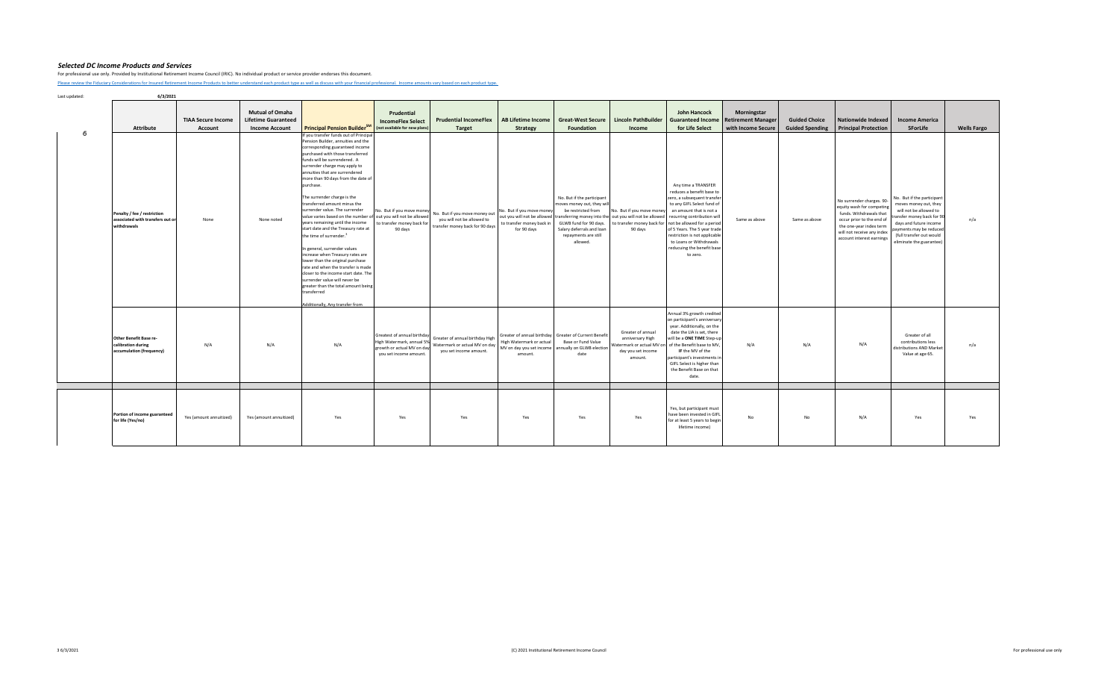For professional use only. Provided by Institutional Retirement Income Council (IRIC). No individual product or service provider endorses this document.

[Please review the Fiduciary C](https://iricouncil.org/evaluation-tools/#1520343768811-ff67f288-b770)onsiderations for Insured Retirement Income Products to better understand each product type as well as discuss with your financial professional. Income amounts vary based on each product type.

|    | Attribute                                                                      | <b>TIAA Secure Income</b><br>Account | <b>Mutual of Omaha</b><br><b>Lifetime Guaranteed</b><br><b>Income Account</b> | <b>Principal Pension BuilderSM</b>                                                                                                                                                                                                                                                                                                                                                                                                                                                                                                                                                                                                                                                                                                                                                                                                                                                                              | Prudential<br><b>IncomeFlex Select</b><br>(not available for new plans                                          | <b>Prudential IncomeFlex</b><br><b>Target</b>                                                  | <b>AB Lifetime Income</b><br><b>Strategy</b>                                                                             | <b>Great-West Secure</b><br>Foundation                                                                                                                                    | <b>Lincoln PathBuilder</b><br>Income                                                                                         | John Hancock<br><b>Guaranteed Income</b><br>for Life Select                                                                                                                                                                                                                                                                                  | <b>Morningstar</b><br><b>Retirement Manager</b><br>with Income Secure | <b>Guided Choice</b><br><b>Guided Spending</b> | <b>Nationwide Indexed</b><br><b>Principal Protection</b>                                                                                                                                             | <b>Income America</b><br><b>5ForLife</b>                                                                                                                                                                               | <b>Wells Fargo</b> |
|----|--------------------------------------------------------------------------------|--------------------------------------|-------------------------------------------------------------------------------|-----------------------------------------------------------------------------------------------------------------------------------------------------------------------------------------------------------------------------------------------------------------------------------------------------------------------------------------------------------------------------------------------------------------------------------------------------------------------------------------------------------------------------------------------------------------------------------------------------------------------------------------------------------------------------------------------------------------------------------------------------------------------------------------------------------------------------------------------------------------------------------------------------------------|-----------------------------------------------------------------------------------------------------------------|------------------------------------------------------------------------------------------------|--------------------------------------------------------------------------------------------------------------------------|---------------------------------------------------------------------------------------------------------------------------------------------------------------------------|------------------------------------------------------------------------------------------------------------------------------|----------------------------------------------------------------------------------------------------------------------------------------------------------------------------------------------------------------------------------------------------------------------------------------------------------------------------------------------|-----------------------------------------------------------------------|------------------------------------------------|------------------------------------------------------------------------------------------------------------------------------------------------------------------------------------------------------|------------------------------------------------------------------------------------------------------------------------------------------------------------------------------------------------------------------------|--------------------|
| සි | Penalty / fee / restriction<br>associated with transfers out or<br>withdrawals | None                                 | None noted                                                                    | If you transfer funds out of Principal<br>Pension Builder, annuities and the<br>corresponding guaranteed income<br>purchased with those transferred<br>funds will be surrendered. A<br>surrender charge may apply to<br>annuities that are surrendered<br>more than 90 days from the date of<br>purchase.<br>The surrender charge is the<br>transferred amount minus the<br>surrender value. The surrender<br>value varies based on the number of out you will not be allowed<br>years remaining until the income<br>start date and the Treasury rate at<br>the time of surrender. <sup>3</sup><br>In general, surrender values<br>increase when Treasury rates are<br>lower than the original purchase<br>rate and when the transfer is made<br>closer to the income start date. The<br>surrender value will never be<br>greater than the total amount being<br>transferred<br>Additionally. Any transfer from | No. But if you move money<br>to transfer money back for<br>90 days                                              | No. But if you move money out<br>you will not be allowed to<br>transfer money back for 90 days | No. But if you move money<br>out you will not be allowed<br>to transfer money back in<br>for 90 days                     | No. But if the participant<br>moves money out, they will<br>be restricted from<br>GLWB fund for 90 days.<br>Salary deferrals and loan<br>repayments are still<br>allowed. | No. But if you move money<br>ransferring money into the out you will not be allowed<br>to transfer money back for<br>90 days | Any time a TRANSFER<br>reduces a benefit base to<br>zero, a subsequent transfer<br>to any GIFL Select fund of<br>an amount that is not a<br>recurring contribution will<br>not be allowed for a period<br>of 5 Years. The 5 year trade<br>restriction is not applicable<br>to Loans or Withdrawals<br>reducuing the benefit base<br>to zero. | Same as above                                                         | Same as above                                  | No surrender charges. 90-<br>equity wash for competing<br>funds. Withdrawals that<br>occur prior to the end of<br>the one-year index term<br>will not receive any index<br>account interest earnings | No. But if the participant<br>moves money out, they<br>will not be allowed to<br>ansfer money back for 90<br>days and future income<br>payments may be reduced<br>(full transfer out would<br>eliminate the guarantee) | n/a                |
|    | Other Benefit Base re-<br>calibration during<br>accumulation (frequency)       | N/A                                  | N/A                                                                           | N/A                                                                                                                                                                                                                                                                                                                                                                                                                                                                                                                                                                                                                                                                                                                                                                                                                                                                                                             | Greatest of annual birthday<br>High Watermark, annual 59<br>growth or actual MV on day<br>you set income amount | Greater of annual birthday High<br>Watermark or actual MV on day<br>you set income amount.     | Greater of annual birthday Greater of Current Benefit<br>High Watermark or actual<br>MV on day you set income<br>amount. | Base or Fund Value<br>annually on GLWB election<br>date                                                                                                                   | Greater of annual<br>anniversary High<br>Watermark or actual MV on<br>day you set income<br>amount.                          | Annual 3% growth credited<br>on participant's anniversary<br>year. Additionally, on the<br>date the LIA is set, there<br>will be a ONE TIME Step-up<br>of the Benefit base to MV,<br>IF the MV of the<br>participant's investments in<br>GIFL Select is higher than<br>the Benefit Base on that<br>date.                                     | N/A                                                                   | N/A                                            | N/A                                                                                                                                                                                                  | Greater of all<br>contributions less<br>distributions AND Market<br>Value at age 65.                                                                                                                                   | n/a                |
|    | Portion of income guaranteed<br>for life (Yes/no)                              | Yes (amount annuitized)              | Yes (amount annuitized)                                                       | Yes                                                                                                                                                                                                                                                                                                                                                                                                                                                                                                                                                                                                                                                                                                                                                                                                                                                                                                             | Yes                                                                                                             | Yes                                                                                            | Yes                                                                                                                      | Yes                                                                                                                                                                       | Yes                                                                                                                          | Yes, but participant must<br>have been invested in GIFL<br>for at least 5 years to begin<br>lifetime income)                                                                                                                                                                                                                                 | No                                                                    | No                                             | N/A                                                                                                                                                                                                  | Yes                                                                                                                                                                                                                    | Yes                |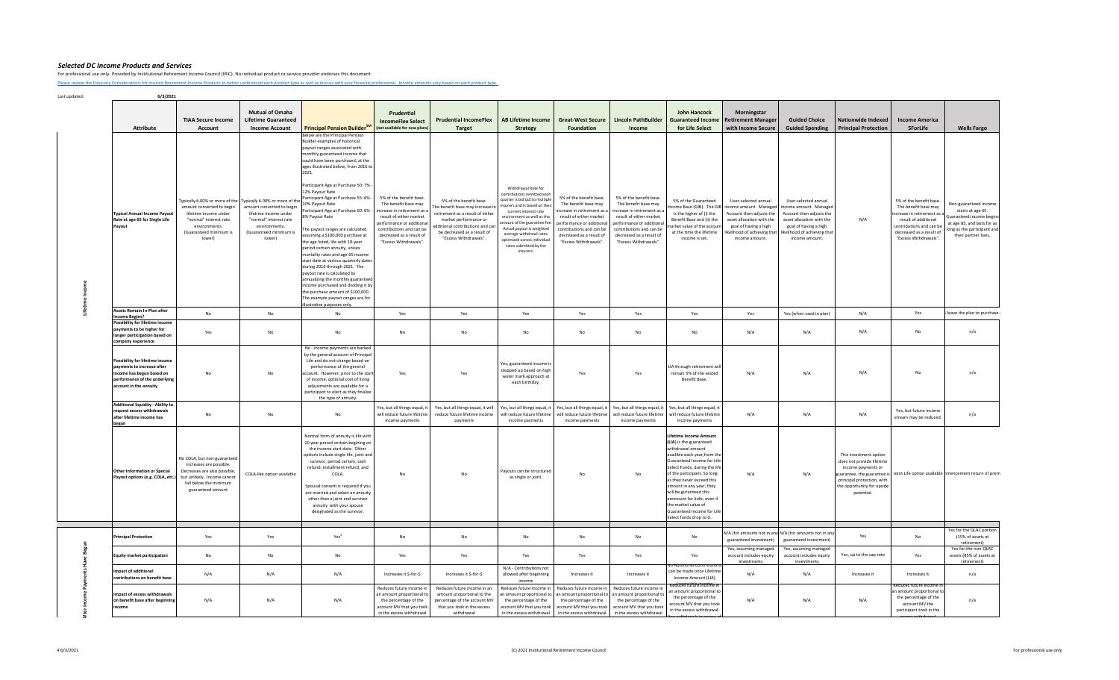For professional use only. Provided by Institutional Retirement Income Council (IRIC). No individual product or service provider endorses this document.

[Please review the Fiduciary C](https://iricouncil.org/evaluation-tools/#1520343768811-ff67f288-b770)onsiderations for Insured Retirement Income Products to better understand each product type as well as discuss with your financial professional. Income amounts vary based on each product type.

| <b>Attribute</b>                                                                                                                                      | <b>TIAA Secure Income</b><br><b>Account</b>                                                                                                                                                        | <b>Mutual of Omaha</b><br><b>Lifetime Guaranteed</b><br><b>Income Account</b>                                                     | Principal Pension Builder <sup>SM</sup>                                                                                                                                                                                                                                                                                                                                                                                                                                                                                                                                                                                                                                                                                                                                                                                                                                                   | Prudential<br><b>IncomeFlex Select</b><br>(not available for new plans)                                                                                                                                                | <b>Prudential IncomeFlex</b><br><b>Target</b>                                                                                                                                                                       | <b>AB Lifetime Income</b><br><b>Strategy</b>                                                                                                                                                                                                                                                                                             | <b>Great-West Secure</b><br>Foundation                                                                                                                                                                                  | <b>Lincoln PathBuilder</b><br>Income                                                                                                                                                                                   | <b>John Hancock</b><br><b>Guaranteed Income</b><br>for Life Select                                                                                                                                                                                                                                                                                                                                            | Morningstar<br><b>Retirement Manager</b><br>with Income Secure                                                                                                                                               | <b>Guided Choice</b><br><b>Guided Spending</b>                                                                                                                                     | <b>Nationwide Indexed</b><br><b>Principal Protection</b>                                                                                            | <b>Income America</b><br><b>5ForLife</b>                                                                                                                                              | <b>Wells Fargo</b>                                                                                                                                        |
|-------------------------------------------------------------------------------------------------------------------------------------------------------|----------------------------------------------------------------------------------------------------------------------------------------------------------------------------------------------------|-----------------------------------------------------------------------------------------------------------------------------------|-------------------------------------------------------------------------------------------------------------------------------------------------------------------------------------------------------------------------------------------------------------------------------------------------------------------------------------------------------------------------------------------------------------------------------------------------------------------------------------------------------------------------------------------------------------------------------------------------------------------------------------------------------------------------------------------------------------------------------------------------------------------------------------------------------------------------------------------------------------------------------------------|------------------------------------------------------------------------------------------------------------------------------------------------------------------------------------------------------------------------|---------------------------------------------------------------------------------------------------------------------------------------------------------------------------------------------------------------------|------------------------------------------------------------------------------------------------------------------------------------------------------------------------------------------------------------------------------------------------------------------------------------------------------------------------------------------|-------------------------------------------------------------------------------------------------------------------------------------------------------------------------------------------------------------------------|------------------------------------------------------------------------------------------------------------------------------------------------------------------------------------------------------------------------|---------------------------------------------------------------------------------------------------------------------------------------------------------------------------------------------------------------------------------------------------------------------------------------------------------------------------------------------------------------------------------------------------------------|--------------------------------------------------------------------------------------------------------------------------------------------------------------------------------------------------------------|------------------------------------------------------------------------------------------------------------------------------------------------------------------------------------|-----------------------------------------------------------------------------------------------------------------------------------------------------|---------------------------------------------------------------------------------------------------------------------------------------------------------------------------------------|-----------------------------------------------------------------------------------------------------------------------------------------------------------|
| <b>Typical Annual Income Payout</b><br>Rate at age 65 for Single Life<br>Payout                                                                       | Typically 6.00% or more of the Typically 6.00% or more of the<br>amount converted to begin<br>lifetime income under<br>"normal" interest rate<br>environments.<br>(Guaranteed minimum is<br>lower) | amount converted to begin<br>lifetime income under<br>"normal" interest rate<br>environments.<br>(Guaranteed minimum is<br>lower) | Below are the Principal Pension<br>Builder examples of historical<br>payout ranges associated with<br>monthly guaranteed income that<br>could have been purchased, at the<br>ages illustrated below, from 2016 to<br>2021.<br>Participant Age at Purchase 50: 7%<br>12% Pavout Rate<br>Participant Age at Purchase 55: 6% -<br>10% Payout Rate<br>Participant Age at Purchase 60: 6% -<br>% Pavout Rate<br>he payout ranges are calculated<br>assuming a \$100,000 purchase at<br>the age listed, life with 10-year<br>period certain annuity, unisex<br>mortality rates and age 65 income<br>start date at various quarterly dates<br>during 2016 through 2021. The<br>payout rate is calculated by<br>annualizing the monthly guaranteed<br>ncome purchased and dividing it by<br>the purchase amount of \$100,000.<br>The example payout ranges are for<br>illustrative purposes only. | 5% of the benefit base<br>The benefit base may<br>increase in retirement as a<br>result of either market<br>nerformance or additional<br>contributions and can be<br>decreased as a result of<br>"Excess Withdrawals". | 5% of the benefit base.<br>The benefit base may increase in<br>retirement as a result of either<br>market performance or<br>dditional contributions and car<br>be decreased as a result of<br>"Excess Withdrawals". | Withdrawal Rate for<br>contributions remitted each<br>quarter is bid out to multiple<br>nsurers and is based on ther<br>current interest rate<br>environment as well as the<br>amount of the guarantee fee<br>Actual payout is weighted<br>average withdrawl rates<br>optimized across individual<br>rates submitted by the<br>insurers. | 5% of the benefit base.<br>The benefit base may<br>increase in retirement as a<br>result of either market<br>performance or additional<br>contributions and can be<br>decreased as a result of<br>"Excess Withdrawals". | 5% of the benefit base<br>The benefit base may<br>increase in retirement as a<br>result of either market<br>nerformance or additional<br>contributions and can be<br>decreased as a result of<br>"Excess Withdrawals". | 5% of the Guaranteed<br>is the higher of (i) the<br>Benefit Base and (ii) the<br>market value of the account<br>at the time the lifetime<br>income is set.                                                                                                                                                                                                                                                    | User-selected annual<br>ncome Base (GIB). The GIB income amount. Managed<br>Account then adjusts the<br>asset allocation with the<br>goal of having a high<br>likelihood of achieving that<br>income amount. | User-selected annual<br>income amount. Managed<br>Account then adjusts the<br>asset allocation with the<br>goal of having a high<br>likelihood of achieving that<br>income amount. | N/A                                                                                                                                                 | 5% of the benefit base<br>The benefit base may<br>ncrease in retirement as a<br>result of additional<br>contributions and can be<br>decreased as a result of<br>"Excess Withdrawals". | Non-guaranteed income<br>starts at age 65.<br>aranteed income begins<br>at age 85, and lasts for as<br>ong as the participant and<br>their partner lives. |
| <b>Assets Remain In-Plan after</b><br><b>Income Begins?</b>                                                                                           | No                                                                                                                                                                                                 | No                                                                                                                                | No                                                                                                                                                                                                                                                                                                                                                                                                                                                                                                                                                                                                                                                                                                                                                                                                                                                                                        | Yes                                                                                                                                                                                                                    | Yes                                                                                                                                                                                                                 | Yes                                                                                                                                                                                                                                                                                                                                      | Yes                                                                                                                                                                                                                     | Yes                                                                                                                                                                                                                    | Yes                                                                                                                                                                                                                                                                                                                                                                                                           | Yes                                                                                                                                                                                                          | Yes (when used in plan)                                                                                                                                                            | N/A                                                                                                                                                 | Yes                                                                                                                                                                                   | leave the plan to purchase                                                                                                                                |
| <b>Possibility for lifetime income</b><br>ayments to be higher for<br><b>Onger participation based on</b><br>company experience                       | Yes                                                                                                                                                                                                | No                                                                                                                                | No                                                                                                                                                                                                                                                                                                                                                                                                                                                                                                                                                                                                                                                                                                                                                                                                                                                                                        | $\mathsf{No}$                                                                                                                                                                                                          | No                                                                                                                                                                                                                  | No                                                                                                                                                                                                                                                                                                                                       | <b>No</b>                                                                                                                                                                                                               | $\mathsf{No}$                                                                                                                                                                                                          | No                                                                                                                                                                                                                                                                                                                                                                                                            | N/A                                                                                                                                                                                                          | N/A                                                                                                                                                                                | N/A                                                                                                                                                 | N <sub>0</sub>                                                                                                                                                                        | n/a                                                                                                                                                       |
| Possibility for lifetime income<br>payments to increase after<br>income has begun based on<br>performance of the underlying<br>account in the annuity | <b>No</b>                                                                                                                                                                                          | No                                                                                                                                | No - income payments are backed<br>by the general account of Principal<br>Life and do not change based on<br>performance of the general<br>ccount. However, prior to the start<br>of income, optional cost of living<br>adjustments are available for a<br>participant to elect as they finalize<br>the type of annuity                                                                                                                                                                                                                                                                                                                                                                                                                                                                                                                                                                   | Yes                                                                                                                                                                                                                    | Yes                                                                                                                                                                                                                 | Yes, guaranteed income is<br>stepped up based on high<br>water mark approach at<br>each birthday.                                                                                                                                                                                                                                        | Yes                                                                                                                                                                                                                     | Yes                                                                                                                                                                                                                    | LIA through retirement wil<br>remain 5% of the vested<br>Benefit Base.                                                                                                                                                                                                                                                                                                                                        | N/A                                                                                                                                                                                                          | N/A                                                                                                                                                                                | N/A                                                                                                                                                 | No                                                                                                                                                                                    | n/a                                                                                                                                                       |
| <b>Additional liquidity - Ability to</b><br>request excess withdrawals<br>after lifetime income has<br>begun                                          | No                                                                                                                                                                                                 | No                                                                                                                                | No                                                                                                                                                                                                                                                                                                                                                                                                                                                                                                                                                                                                                                                                                                                                                                                                                                                                                        | Yes, but all things equal, it<br>will reduce future lifetime<br>income payments                                                                                                                                        | Yes, but all things equal, it will<br>reduce future lifetime income<br>payments                                                                                                                                     | will reduce future lifetime<br>income payments                                                                                                                                                                                                                                                                                           | Yes, but all things equal, it   Yes, but all things equal, it   Yes, but all things equal, it   Yes, but all things equal, it<br>will reduce future lifetime<br>income payments                                         | will reduce future lifetime<br>income payments                                                                                                                                                                         | will reduce future lifetime<br>income payments                                                                                                                                                                                                                                                                                                                                                                | N/A                                                                                                                                                                                                          | N/A                                                                                                                                                                                | N/A                                                                                                                                                 | Yes, but future income<br>stream may be reduced                                                                                                                                       | n/a                                                                                                                                                       |
| <b>Other Information or Special</b><br>Payout options (e.g. COLA, etc.)                                                                               | No COLA, but non-guaranteed<br>increases are possible.<br>Decreases are also possible,<br>but unlikely. Income cannot<br>fall below the minimum<br>guaranteed amount                               | COLA-like option available                                                                                                        | Normal form of annuity is life with<br>10 year period certain begining or<br>the income start date. Other<br>options include single life, joint and<br>survivor, period certain, cash<br>refund, installment refund, and<br>COLA.<br>Spousal consent is required if you<br>are married and select an annuity<br>other than a joint and survivor<br>annuity with your spouse<br>designated as the survivor.                                                                                                                                                                                                                                                                                                                                                                                                                                                                                | No                                                                                                                                                                                                                     | No                                                                                                                                                                                                                  | Payouts can be structured<br>as single or joint.                                                                                                                                                                                                                                                                                         | No                                                                                                                                                                                                                      | No                                                                                                                                                                                                                     | <b>Lifetime Income Amount</b><br>(LIA) is the guaranteed<br>withdrawal amount<br>availible each year, from the<br>Guaranteed Income for Life<br>Select Funds, during the life<br>of the participant. So long<br>as they never exceed this<br>amount in any year, they<br>will be guranteed this<br>ammount for liofe, even if<br>the market calue of<br>Guaranteed Income for Life<br>Select funds drop to 0. | N/A                                                                                                                                                                                                          | N/A                                                                                                                                                                                | This investment option<br>does not provide lifetime<br>income payments or<br>principal protection, with<br>the opportunity for upside<br>potential. | uarantee, the guarantee is Joint Life option available mencement return of prem                                                                                                       |                                                                                                                                                           |
| rincipal Protection                                                                                                                                   | Yes                                                                                                                                                                                                | Yes                                                                                                                               | Yes <sup>2</sup>                                                                                                                                                                                                                                                                                                                                                                                                                                                                                                                                                                                                                                                                                                                                                                                                                                                                          | <b>No</b>                                                                                                                                                                                                              | No                                                                                                                                                                                                                  | No                                                                                                                                                                                                                                                                                                                                       | <b>No</b>                                                                                                                                                                                                               | No                                                                                                                                                                                                                     | <b>No</b>                                                                                                                                                                                                                                                                                                                                                                                                     | N/A (for amounts not in any N/A (for amounts not in any<br>guaranteed investment)                                                                                                                            | guaranteed investment)                                                                                                                                                             | Yes                                                                                                                                                 | <b>No</b>                                                                                                                                                                             | Yes for the QLAC portion<br>(15% of assets at                                                                                                             |
| Equity market participation                                                                                                                           | <b>No</b>                                                                                                                                                                                          | No                                                                                                                                | No                                                                                                                                                                                                                                                                                                                                                                                                                                                                                                                                                                                                                                                                                                                                                                                                                                                                                        | Yes                                                                                                                                                                                                                    | Yes                                                                                                                                                                                                                 | Yes                                                                                                                                                                                                                                                                                                                                      | Yes                                                                                                                                                                                                                     | Yes                                                                                                                                                                                                                    | Yes                                                                                                                                                                                                                                                                                                                                                                                                           | Yes, assuming managed<br>account includes equity<br>investments                                                                                                                                              | Yes, assuming managed<br>account includes equity<br>investments                                                                                                                    | Yes, up to the cap rate                                                                                                                             | Yes                                                                                                                                                                                   | retirement)<br>Yes for the non-QLAC<br>assets (85% of assets at<br>retirement)                                                                            |
| Impact of additional<br>contributions on benefit base                                                                                                 | N/A                                                                                                                                                                                                | N/A                                                                                                                               | N/A                                                                                                                                                                                                                                                                                                                                                                                                                                                                                                                                                                                                                                                                                                                                                                                                                                                                                       | Increases it \$-for-\$                                                                                                                                                                                                 | Increases it \$-for-\$                                                                                                                                                                                              | N/A - Contributions not<br>allowed after beginning<br>income                                                                                                                                                                                                                                                                             | Increases it                                                                                                                                                                                                            | Increases it                                                                                                                                                                                                           | tional contributi<br>can be made once Lifetime<br>Income Amount (LIA)                                                                                                                                                                                                                                                                                                                                         | N/A                                                                                                                                                                                                          | N/A                                                                                                                                                                                | Increases it                                                                                                                                        | Increases it                                                                                                                                                                          | n/a                                                                                                                                                       |
| npact of excess withdrawals<br>on benefit base after beginning<br>income                                                                              | N/A                                                                                                                                                                                                | N/A                                                                                                                               | N/A                                                                                                                                                                                                                                                                                                                                                                                                                                                                                                                                                                                                                                                                                                                                                                                                                                                                                       | Reduces future income in<br>in amount proportional to<br>the percentage of the<br>account MV that you took<br>in the excess withdrawal                                                                                 | Reduces future income in an<br>amount proportional to the<br>percentage of the account MV<br>that you took in the excess<br>withdrawal                                                                              | Reduces future income in<br>an amount proportional to<br>the percentage of the<br>account MV that you took<br>in the excess withdrawal                                                                                                                                                                                                   | Reduces future income in<br>an amount proportional to<br>the percentage of the<br>account MV that you took<br>in the excess withdrawal                                                                                  | Reduces future income in<br>an amount proportional to<br>the percentage of the<br>account MV that you took<br>in the excess withdrawal                                                                                 | Reduces tuture income in<br>an amount proportional to<br>the percentage of the<br>account MV that you took<br>in the excess withdrawal.                                                                                                                                                                                                                                                                       | N/A                                                                                                                                                                                                          | N/A                                                                                                                                                                                | N/A                                                                                                                                                 | Reduces future income<br>in amount proportional to<br>the percentage of the<br>account MV the<br>participant took in the                                                              | n/a                                                                                                                                                       |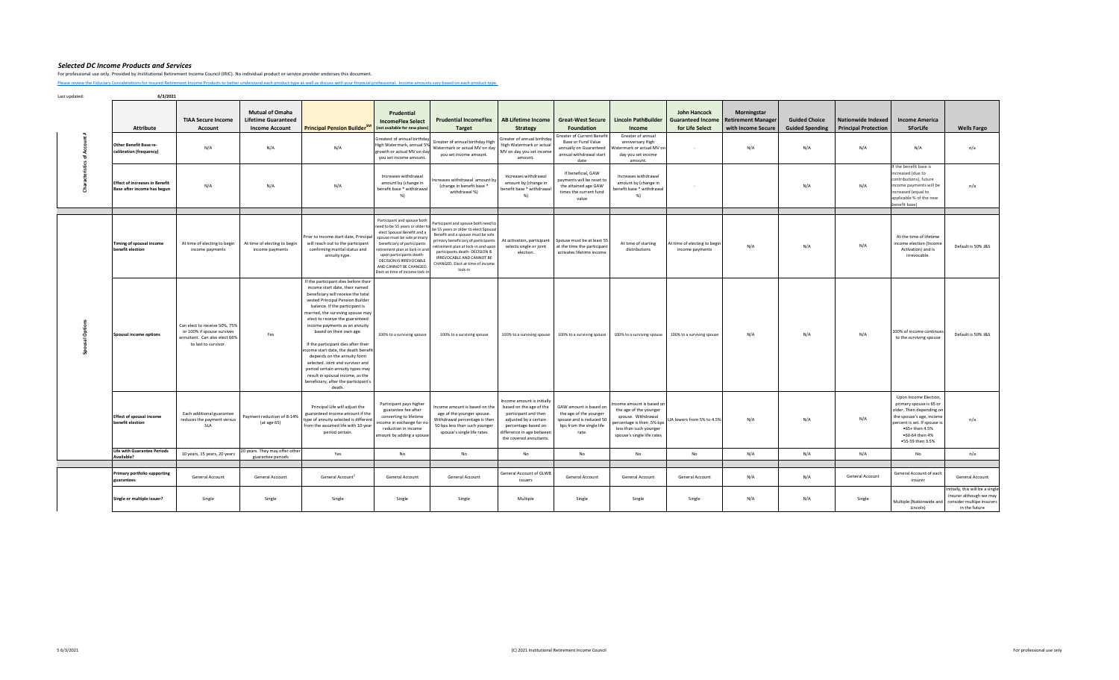For professional use only. Provided by Institutional Retirement Income Council (IRIC). No individual product or service provider endorses this document.

[Please review the Fiduciary C](https://iricouncil.org/evaluation-tools/#1520343768811-ff67f288-b770)onsiderations for Insured Retirement Income Products to better understand each product type as well as discuss with your financial professional. Income amounts vary based on each product type.

|  | <b>Attribute</b><br>Other Benefit Base re-<br>calibration (frequency) | <b>TIAA Secure Income</b><br>Account<br>N/A                                                                          | <b>Mutual of Omaha</b><br><b>Lifetime Guaranteed</b><br><b>Income Account</b><br>N/A | <b>Principal Pension Builder</b> <sup>5M</sup><br>N/A                                                                                                                                                                                                                                                                                                                                                                                                                                                                                                                                            | Prudential<br><b>IncomeFlex Select</b><br>(not available for new plans)<br>Greatest of annual birthday<br>High Watermark, annual 5%<br>growth or actual MV on day<br>you set income amount.                                                                                                                            | <b>Prudential IncomeFlex</b><br><b>Target</b><br>Greater of annual birthday High<br>Watermark or actual MV on day<br>you set income amount.                                                                                                                                                                    | AB Lifetime Income<br><b>Strategy</b><br>Greater of annual birthday<br>High Watermark or actual<br>MV on day you set income<br>amount.                                                | <b>Great-West Secure</b><br>Foundation<br>Greater of Current Benefit<br>Base or Fund Value<br>annually on Guaranteed<br>annual withdrawal start | <b>Lincoln PathBuilder</b><br>Income<br>Greater of annual<br>anniversary High<br>Watermark or actual MV on<br>day you set income                              | John Hancock<br><b>Guaranteed Income</b><br>for Life Select | Morningstar<br><b>Retirement Manager</b><br>with Income Secure<br>N/A | <b>Guided Choice</b><br><b>Guided Spending</b><br>N/A | <b>Nationwide Indexed</b><br><b>Principal Protection</b><br>N/A | <b>Income America</b><br>5ForLife<br>N/A                                                                                                                                                         | <b>Wells Fargo</b><br>n/a                                                                                                          |
|--|-----------------------------------------------------------------------|----------------------------------------------------------------------------------------------------------------------|--------------------------------------------------------------------------------------|--------------------------------------------------------------------------------------------------------------------------------------------------------------------------------------------------------------------------------------------------------------------------------------------------------------------------------------------------------------------------------------------------------------------------------------------------------------------------------------------------------------------------------------------------------------------------------------------------|------------------------------------------------------------------------------------------------------------------------------------------------------------------------------------------------------------------------------------------------------------------------------------------------------------------------|----------------------------------------------------------------------------------------------------------------------------------------------------------------------------------------------------------------------------------------------------------------------------------------------------------------|---------------------------------------------------------------------------------------------------------------------------------------------------------------------------------------|-------------------------------------------------------------------------------------------------------------------------------------------------|---------------------------------------------------------------------------------------------------------------------------------------------------------------|-------------------------------------------------------------|-----------------------------------------------------------------------|-------------------------------------------------------|-----------------------------------------------------------------|--------------------------------------------------------------------------------------------------------------------------------------------------------------------------------------------------|------------------------------------------------------------------------------------------------------------------------------------|
|  | <b>Effect of increases in Benefit</b><br>Base after income has begun  | N/A                                                                                                                  | N/A                                                                                  | N/A                                                                                                                                                                                                                                                                                                                                                                                                                                                                                                                                                                                              | Increases withdrawal<br>amount by (change in<br>benefit base * withdrawal<br>%                                                                                                                                                                                                                                         | ncreases withdrawal amount by<br>(change in benefit base *<br>withdrawal %)                                                                                                                                                                                                                                    | Increases withdrawal<br>amount by (change in<br>benefit base * withdrawal<br>%)                                                                                                       | date<br>If beneficial, GAW<br>payments will be reset to<br>the attained age GAW<br>times the current fund<br>value                              | amount.<br>Increases withdrawal<br>amount by (change in<br>enefit base * withdrawal<br>%)                                                                     |                                                             |                                                                       | N/A                                                   | N/A                                                             | If the benefit base is<br>increased (due to<br>contributions), future<br>income payments will be<br>increased (equal to<br>applicable % of the new<br>benefit base)                              | n/a                                                                                                                                |
|  | Timing of spousal income<br>benefit election                          | At time of electing to begin<br>income payments                                                                      | At time of electing to begin<br>income payments                                      | Prior to income start date, Principal<br>will reach out to the participant<br>confirming marital status and<br>annuity type.                                                                                                                                                                                                                                                                                                                                                                                                                                                                     | Participant and spouse both<br>need to be 55 years or older to<br>elect Spousal Benefit and a<br>spouse must be sole primary<br>beneficiary of participants<br>etirement plan at lock-in and<br>upon participants death-<br><b>DECISION IS IRREVOCABLE</b><br>AND CANNOT BE CHANGED.<br>lect at time of income lock-in | Participant and spouse both need to<br>be 55 years or older to elect Spousal<br>Benefit and a spouse must be sole<br>primary beneficiary of participants<br>retirement plan at lock-in and upon<br>participants death- DECISION IS<br>IRREVOCABLE AND CANNOT BE<br>CHANGED. Elect at time of income<br>lock-in | At activation, participant<br>selects single or joint<br>election.                                                                                                                    | Spouse must be at least 55<br>at the time the participant<br>activates lifetime income                                                          | At time of starting<br>distributions                                                                                                                          | At time of electing to begin<br>income payments             | N/A                                                                   | N/A                                                   | N/A                                                             | At the time of lifetime<br>income election (Income<br>Activation) and is<br>irrevocable.                                                                                                         | Default is 50% J&S                                                                                                                 |
|  | Spousal income options                                                | Can elect to receive 50%, 75%<br>or 100% if spouse survives<br>annuitant. Can also elect 66%<br>to last to survivor. | Yes                                                                                  | If the participant dies before their<br>income start date, their named<br>beneficiary will receive the total<br>vested Principal Pension Builder<br>balance. If the participant is<br>married, the surviving spouse may<br>elect to receive the guaranteed<br>income payments as an annuity<br>based on their own age.<br>If the participant dies after their<br>ncome start date, the death benefi<br>depends on the annuity form<br>selected. Joint and survivor and<br>period certain annuity types may<br>result in spousal income, as the<br>beneficiary, after the participant's<br>death. | 100% to a surviving spouse                                                                                                                                                                                                                                                                                             | 100% to a surviving spouse                                                                                                                                                                                                                                                                                     | 100% to a surviving spouse                                                                                                                                                            | 100% to a surviving spouse                                                                                                                      | 100% to a surviving spouse                                                                                                                                    | 100% to a surviving spouse                                  | N/A                                                                   | N/A                                                   | N/A                                                             | 100% of income continues<br>to the surviving spouse                                                                                                                                              | Default is 50% J&S                                                                                                                 |
|  | <b>Effect of spousal income</b><br>benefit election                   | Each additional guarantee<br>reduces the payment versus<br><b>SLA</b>                                                | Payment reduction of 8-14%<br>(at age 65)                                            | Principal Life will adjust the<br>guaranteed income amount if the<br>type of annuity selected is different<br>from the assumed life with 10-year<br>period certain.                                                                                                                                                                                                                                                                                                                                                                                                                              | Participant pays higher<br>guarantee fee after<br>converting to lifetime<br>ncome in exchange for no<br>reduction in income<br>mount by adding a spouse                                                                                                                                                                | Income amount is based on the<br>age of the younger spouse.<br>Withdrawal percentage is then<br>50 bps less than such younger<br>spouse's single life rates                                                                                                                                                    | Income amount is initially<br>based on the age of the<br>participant and then<br>adjusted by a certain<br>percentage based on<br>difference in age between<br>the covered annuitants. | GAW amount is based on<br>the age of the younger<br>spouse and is reduced 50<br>bps from the single life<br>rate.                               | ncome amount is based on<br>the age of the younger<br>spouse. Withdrawal<br>ercentage is then .5% bps<br>less than such younger<br>spouse's single life rates | LIA lowers from 5% to 4.5%                                  | N/A                                                                   | N/A                                                   | N/A                                                             | Upon Income Election,<br>primary spouse is 65 or<br>older. Then depending on<br>the spouse's age, income<br>percent is set. If spouse is<br>.65+ then 4.5%<br>•60-64 then 4%<br>•55-59 then 3.5% | n/a                                                                                                                                |
|  | <b>Life with Guarantee Periods</b><br>Available?                      | 10 years, 15 years, 20 years                                                                                         | 20 years. They may offer other<br>guarantee periods                                  | Yes                                                                                                                                                                                                                                                                                                                                                                                                                                                                                                                                                                                              | No                                                                                                                                                                                                                                                                                                                     | No                                                                                                                                                                                                                                                                                                             | No                                                                                                                                                                                    | No                                                                                                                                              | No                                                                                                                                                            | No                                                          | N/A                                                                   | N/A                                                   | N/A                                                             | No                                                                                                                                                                                               | n/a                                                                                                                                |
|  | <b>Primary portfolio supporting</b><br>guarantees                     | General Account                                                                                                      | General Account                                                                      | General Account                                                                                                                                                                                                                                                                                                                                                                                                                                                                                                                                                                                  | General Account                                                                                                                                                                                                                                                                                                        | General Account                                                                                                                                                                                                                                                                                                | General Account of GLWB<br>issuers                                                                                                                                                    | General Account                                                                                                                                 | General Account                                                                                                                                               | General Account                                             | N/A                                                                   | N/A                                                   | General Account                                                 | General Account of each<br>insurer                                                                                                                                                               | General Account                                                                                                                    |
|  | Single or multiple issuer?                                            | Single                                                                                                               | Single                                                                               | Single                                                                                                                                                                                                                                                                                                                                                                                                                                                                                                                                                                                           | Single                                                                                                                                                                                                                                                                                                                 | Single                                                                                                                                                                                                                                                                                                         | Multiple                                                                                                                                                                              | Single                                                                                                                                          | Single                                                                                                                                                        | Single                                                      | N/A                                                                   | N/A                                                   | Single                                                          | Lincoln)                                                                                                                                                                                         | Initially, this will be a single<br>insurer although we may<br>Multiple (Nationwide and consider multipe insurers<br>in the future |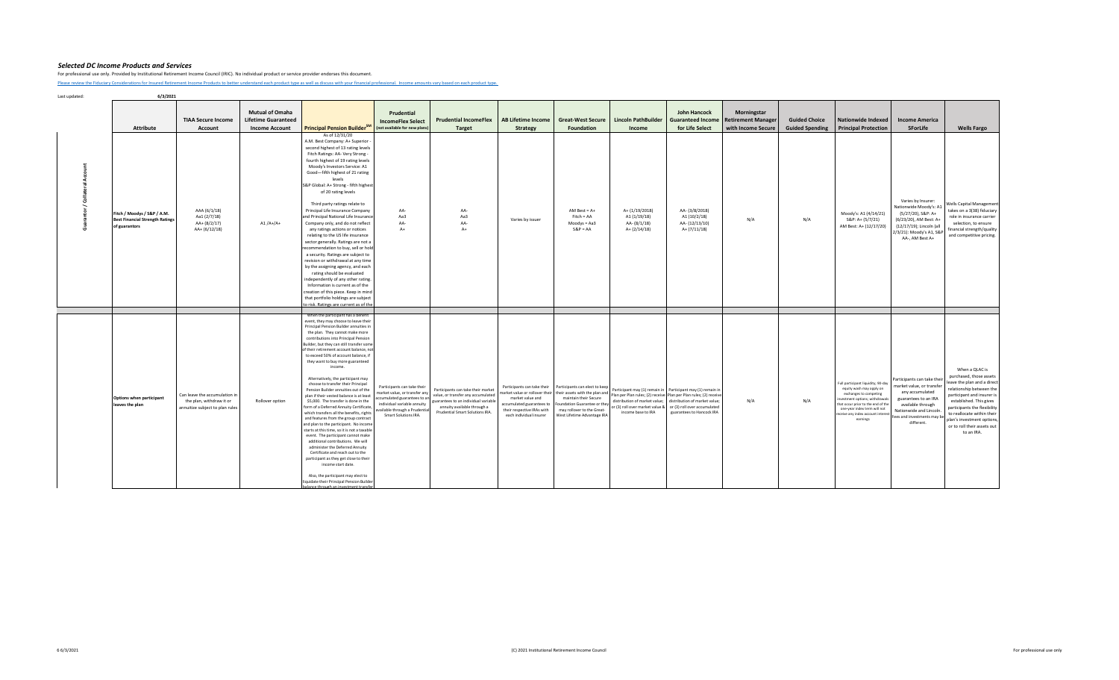For professional use only. Provided by Institutional Retirement Income Council (IRIC). No individual product or service provider endorses this document.

[Please review the Fiduciary C](https://iricouncil.org/evaluation-tools/#1520343768811-ff67f288-b770)onsiderations for Insured Retirement Income Products to better understand each product type as well as discuss with your financial professional. Income amounts vary based on each product type.

| <b>Attribute</b>                                                                       | <b>TIAA Secure Income</b><br>Account                                                         | <b>Mutual of Omaha</b><br><b>Lifetime Guaranteed</b><br><b>Income Account</b> | Principal Pension Builder <sup>SM</sup>                                                                                                                                                                                                                                                                                                                                                                                                                                                                                                                                                                                                                                                                                                                                                                                                                                                                                                                                                                                                                                                                                                      | Prudential<br><b>IncomeFlex Select</b><br>(not available for new plans)                                                                                                             | <b>Prudential IncomeFlex</b><br>Target                                                                                                                                             | AB Lifetime Income<br>Strategy                                                                                                        | <b>Great-West Secure</b><br><b>Foundation</b>                                                                                                                                                                         | <b>Lincoln PathBuilder</b><br>Income                                                                                                                  | <b>John Hancock</b><br><b>Guaranteed Income</b><br>for Life Select                                                                                              | <b>Morningstar</b><br><b>Retirement Manager</b><br>with Income Secure | <b>Guided Choice</b><br><b>Guided Spending</b> | <b>Nationwide Indexed</b><br><b>Principal Protection</b>                                                                                                                                                                                           | <b>Income America</b><br><b>5ForLife</b>                                                                                                                                                      | <b>Wells Fargo</b>                                                                                                                                                                                                                                                                                     |
|----------------------------------------------------------------------------------------|----------------------------------------------------------------------------------------------|-------------------------------------------------------------------------------|----------------------------------------------------------------------------------------------------------------------------------------------------------------------------------------------------------------------------------------------------------------------------------------------------------------------------------------------------------------------------------------------------------------------------------------------------------------------------------------------------------------------------------------------------------------------------------------------------------------------------------------------------------------------------------------------------------------------------------------------------------------------------------------------------------------------------------------------------------------------------------------------------------------------------------------------------------------------------------------------------------------------------------------------------------------------------------------------------------------------------------------------|-------------------------------------------------------------------------------------------------------------------------------------------------------------------------------------|------------------------------------------------------------------------------------------------------------------------------------------------------------------------------------|---------------------------------------------------------------------------------------------------------------------------------------|-----------------------------------------------------------------------------------------------------------------------------------------------------------------------------------------------------------------------|-------------------------------------------------------------------------------------------------------------------------------------------------------|-----------------------------------------------------------------------------------------------------------------------------------------------------------------|-----------------------------------------------------------------------|------------------------------------------------|----------------------------------------------------------------------------------------------------------------------------------------------------------------------------------------------------------------------------------------------------|-----------------------------------------------------------------------------------------------------------------------------------------------------------------------------------------------|--------------------------------------------------------------------------------------------------------------------------------------------------------------------------------------------------------------------------------------------------------------------------------------------------------|
| Fitch / Moodys / S&P / A.M.<br><b>Best Financial Strength Ratings</b><br>of guarantors | AAA (6/1/18)<br>Aa1 (2/7/18)<br>AA+ (8/2/17)<br>AA+ (6/12/18)                                | $A1/A+/A+$                                                                    | As of 12/31/20<br>A.M. Best Company: A+ Superior -<br>second highest of 13 rating levels<br>Fitch Ratings: AA- Very Strong -<br>fourth highest of 19 rating levels<br>Moody's Investors Service: A1<br>Good-fifth highest of 21 rating<br>levels<br>S&P Global: A+ Strong - fifth highest<br>of 20 rating levels<br>Third party ratings relate to<br>Principal Life Insurance Company<br>and Principal National Life Insurance<br>Company only, and do not reflect<br>any ratings actions or notices<br>relating to the US life insurance<br>sector generally. Ratings are not a<br>recommendation to buy, sell or hold<br>a security. Ratings are subject to<br>revision or withdrawal at any time<br>by the assigning agency, and each<br>rating should be evaluated<br>independently of any other rating.<br>Information is current as of the<br>creation of this piece. Keep in mind<br>that portfolio holdings are subject<br>to risk. Ratings are current as of the                                                                                                                                                                    | AA-<br>Aa3<br>AA-<br>$A+$                                                                                                                                                           | AA-<br>Aa3<br>AA-<br>$A+$                                                                                                                                                          | Varies by issuer                                                                                                                      | AM Best = $A+$<br>$Fitch = AA$<br>$Modys = Aa3$<br>$S&P = AA$                                                                                                                                                         | A+ (1/19/2018)<br>A1 (1/19/18)<br>AA-(8/1/18)<br>$A + (2/14/18)$                                                                                      | AA-(3/8/2018)<br>A1 (10/2/18)<br>AA-(12/13/10)<br>$A+ (7/11/18)$                                                                                                | N/A                                                                   | N/A                                            | Moody's: A1 (4/14/21)<br>S&P: A+ (5/7/21)<br>AM Best: A+ (12/17/20)                                                                                                                                                                                | Varies by Insurer:<br>Nationwide Moody's: A1<br>(5/27/20), S&P: A+<br>(6/23/20), AM Best: A+<br>(12/17/19); Lincoln (all<br>2/3/21): Moody's A1, S&F<br>AA-, AM Best A+                       | <b>Wells Capital Management</b><br>takes on a 3(38) fiduciary<br>role in insurance carrier<br>selection, to ensure<br>financial strength/quality<br>and competitive pricing.                                                                                                                           |
|                                                                                        |                                                                                              |                                                                               |                                                                                                                                                                                                                                                                                                                                                                                                                                                                                                                                                                                                                                                                                                                                                                                                                                                                                                                                                                                                                                                                                                                                              |                                                                                                                                                                                     |                                                                                                                                                                                    |                                                                                                                                       |                                                                                                                                                                                                                       |                                                                                                                                                       |                                                                                                                                                                 |                                                                       |                                                |                                                                                                                                                                                                                                                    |                                                                                                                                                                                               |                                                                                                                                                                                                                                                                                                        |
| Options when participant<br>leaves the plan                                            | Can leave the accumulation in<br>the plan, withdraw it or<br>annuitize subject to plan rules | Rollover option                                                               | When the participant has a benefit<br>event, they may choose to leave their<br>Principal Pension Builder annuities in<br>the plan. They cannot make more<br>contributions into Principal Pension<br>Builder, but they can still transfer some<br>of their retirement account balance, not<br>to exceed 50% of account balance, if<br>they want to buy more guaranteed<br>income.<br>Alternatively, the participant may<br>choose to transfer their Principal<br>Pension Builder annuities out of the<br>plan if their vested balance is at least<br>\$5,000. The transfer is done in the<br>form of a Deferred Annuity Certificate,<br>which transfers all the benefits, rights<br>and features from the group contract<br>and plan to the participant. No income<br>starts at this time, so it is not a taxable<br>event. The participant cannot make<br>additional contributions. We will<br>administer the Deferred Annuity<br>Certificate and reach out to the<br>participant as they get close to their<br>income start date.<br>Also, the participant may elect to<br>liquidate their Principal Pension Builder<br>co through an invoc | Participants can take their<br>narket value, or transfer any<br>ccumulated guarantees to an<br>individual variable annuity<br>vailable through a Prudential<br>Smart Solutions IRA. | Participants can take their market<br>value, or transfer any accumulated<br>guarantees to an individual variable<br>annuity available through a<br>Prudential Smart Solutions IRA. | Participants can take their<br>market value and<br>accumulated guarantees to<br>their respective IRAs with<br>each individual insurer | Participants can elect to keep<br>market value or rollover their their assets with the plan and<br>maintain their Secure<br>Foundation Guarantee or they<br>may rollover to the Great-<br>West Lifetime Advantage IRA | Participant may (1) remain in Participant may (1) remain in<br>distribution of market value;<br>or (3) roll over market value &<br>income base to IRA | Plan per Plan rules; (2) receive Plan per Plan rules; (2) receive<br>distribution of market value;<br>or (3) roll over accumulated<br>guarantees to Hancock IRA | N/A                                                                   | N/A                                            | Full participant liquidity; 90-day<br>equity wash may apply on<br>exchanges to competing<br>investment options; withdrawals<br>that occur prior to the end of the<br>one-year index term will not<br>eceive any index account interest<br>earnings | Participants can take thei<br>market value, or transfer<br>any accumulated<br>guarantees to an IRA<br>available through<br>Nationwide and Lincoln.<br>ees and investments may b<br>different. | When a QLAC is<br>purchased, those assets<br>leave the plan and a direct<br>relationship between the<br>participant and insurer is<br>established. This gives<br>participants the flexibility<br>to reallocate within their<br>plan's investment options,<br>or to roll their assets out<br>to an IRA. |